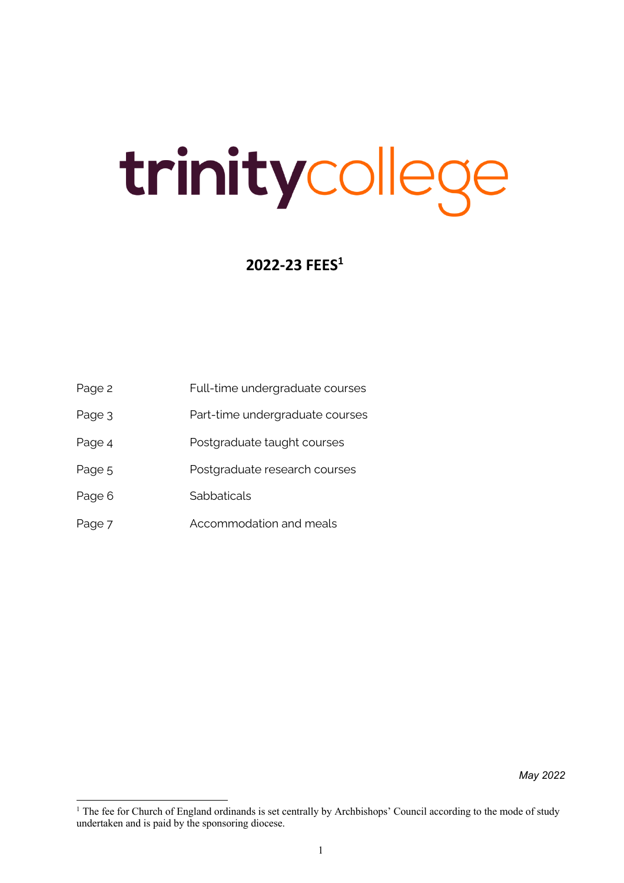# trinitycollege

# **2022-23 FEES1**

- Page 2 Full-time undergraduate courses
- Page 3 Part-time undergraduate courses
- Page 4 **Postgraduate taught courses**
- Page 5 Postgraduate research courses
- Page 6 Sabbaticals
- Page 7 **Accommodation and meals**

*May 2022*

<sup>&</sup>lt;sup>1</sup> The fee for Church of England ordinands is set centrally by Archbishops' Council according to the mode of study undertaken and is paid by the sponsoring diocese.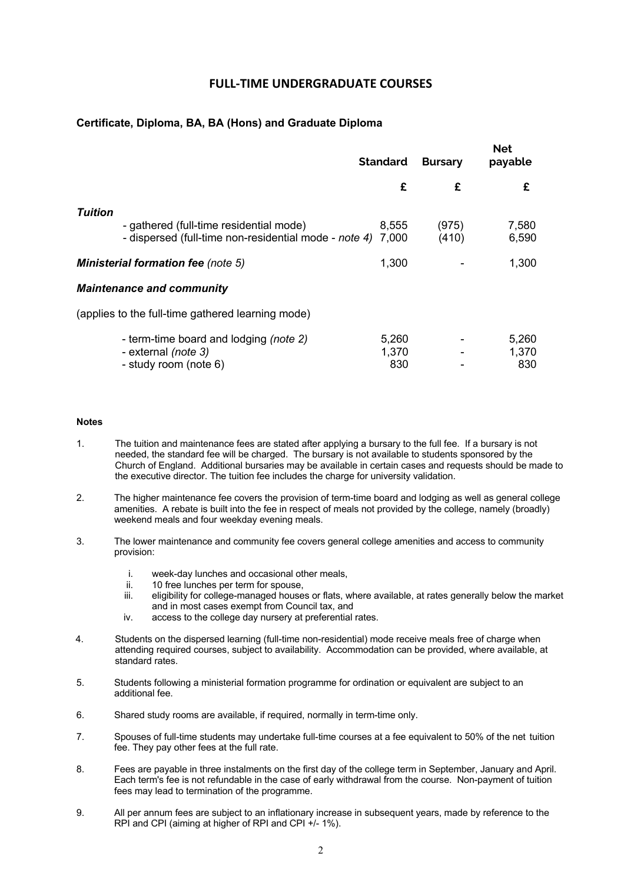# **FULL-TIME UNDERGRADUATE COURSES**

## **Certificate, Diploma, BA, BA (Hons) and Graduate Diploma**

|                                                                                                                | <b>Standard</b> |                | <b>Net</b><br>payable |  |
|----------------------------------------------------------------------------------------------------------------|-----------------|----------------|-----------------------|--|
|                                                                                                                | £               | £              | £                     |  |
| <b>Tuition</b>                                                                                                 |                 |                |                       |  |
| - gathered (full-time residential mode)<br>- dispersed (full-time non-residential mode - <i>note 4</i> ) 7,000 | 8,555           | (975)<br>(410) | 7,580<br>6,590        |  |
| <b>Ministerial formation fee</b> (note 5)                                                                      | 1,300           |                | 1,300                 |  |
| <b>Maintenance and community</b>                                                                               |                 |                |                       |  |
| (applies to the full-time gathered learning mode)                                                              |                 |                |                       |  |
| - term-time board and lodging (note 2)                                                                         | 5,260           |                | 5,260                 |  |
| - external (note 3)                                                                                            | 1,370           |                | 1,370                 |  |
| - study room (note 6)                                                                                          | 830             |                | 830                   |  |

- 1. The tuition and maintenance fees are stated after applying a bursary to the full fee. If a bursary is not needed, the standard fee will be charged. The bursary is not available to students sponsored by the Church of England. Additional bursaries may be available in certain cases and requests should be made to the executive director. The tuition fee includes the charge for university validation.
- 2. The higher maintenance fee covers the provision of term-time board and lodging as well as general college amenities. A rebate is built into the fee in respect of meals not provided by the college, namely (broadly) weekend meals and four weekday evening meals.
- 3. The lower maintenance and community fee covers general college amenities and access to community provision:
	- i. week-day lunches and occasional other meals,
	- ii. 10 free lunches per term for spouse,<br>iii eligibility for college-managed house
	- eligibility for college-managed houses or flats, where available, at rates generally below the market and in most cases exempt from Council tax, and
	- iv. access to the college day nursery at preferential rates.
- 4. Students on the dispersed learning (full-time non-residential) mode receive meals free of charge when attending required courses, subject to availability. Accommodation can be provided, where available, at standard rates.
- 5. Students following a ministerial formation programme for ordination or equivalent are subject to an additional fee.
- 6. Shared study rooms are available, if required, normally in term-time only.
- 7. Spouses of full-time students may undertake full-time courses at a fee equivalent to 50% of the net tuition fee. They pay other fees at the full rate.
- 8. Fees are payable in three instalments on the first day of the college term in September, January and April. Each term's fee is not refundable in the case of early withdrawal from the course. Non-payment of tuition fees may lead to termination of the programme.
- 9. All per annum fees are subject to an inflationary increase in subsequent years, made by reference to the RPI and CPI (aiming at higher of RPI and CPI +/- 1%).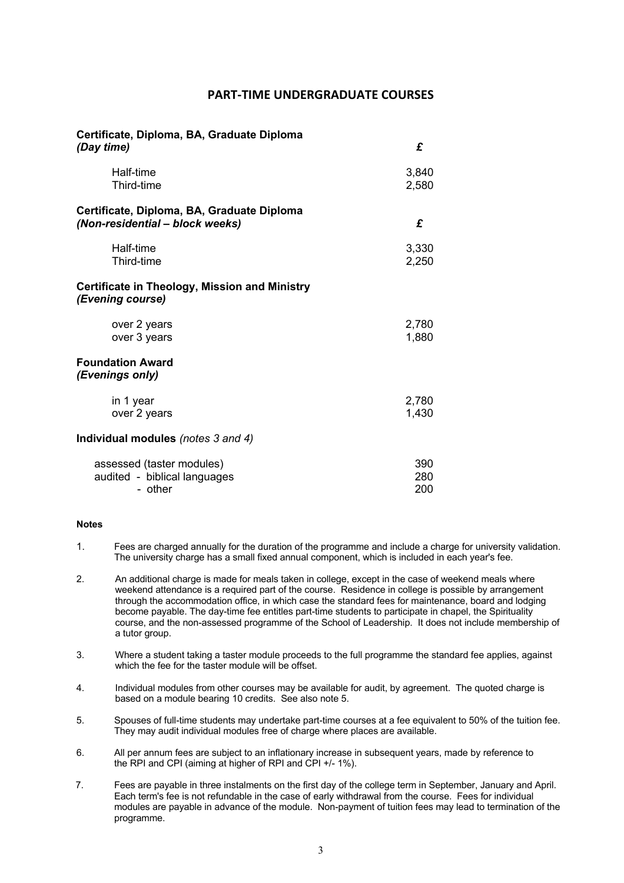## **PART-TIME UNDERGRADUATE COURSES**

| Certificate, Diploma, BA, Graduate Diploma<br>(Day time)                      | £     |
|-------------------------------------------------------------------------------|-------|
| Half-time                                                                     | 3,840 |
| Third-time                                                                    | 2,580 |
| Certificate, Diploma, BA, Graduate Diploma<br>(Non-residential - block weeks) | £     |
| Half-time                                                                     | 3,330 |
| Third-time                                                                    | 2,250 |
| <b>Certificate in Theology, Mission and Ministry</b><br>(Evening course)      |       |
| over 2 years                                                                  | 2,780 |
| over 3 years                                                                  | 1,880 |
| <b>Foundation Award</b><br>(Evenings only)                                    |       |
| in 1 year                                                                     | 2,780 |
| over 2 years                                                                  | 1,430 |
| Individual modules (notes 3 and 4)                                            |       |
| assessed (taster modules)                                                     | 390   |
| audited - biblical languages                                                  | 280   |

- other 200

- 1. Fees are charged annually for the duration of the programme and include a charge for university validation. The university charge has a small fixed annual component, which is included in each year's fee.
- 2. An additional charge is made for meals taken in college, except in the case of weekend meals where weekend attendance is a required part of the course. Residence in college is possible by arrangement through the accommodation office, in which case the standard fees for maintenance, board and lodging become payable. The day-time fee entitles part-time students to participate in chapel, the Spirituality course, and the non-assessed programme of the School of Leadership. It does not include membership of a tutor group.
- 3. Where a student taking a taster module proceeds to the full programme the standard fee applies, against which the fee for the taster module will be offset.
- 4. Individual modules from other courses may be available for audit, by agreement. The quoted charge is based on a module bearing 10 credits. See also note 5.
- 5. Spouses of full-time students may undertake part-time courses at a fee equivalent to 50% of the tuition fee. They may audit individual modules free of charge where places are available.
- 6. All per annum fees are subject to an inflationary increase in subsequent years, made by reference to the RPI and CPI (aiming at higher of RPI and CPI +/- 1%).
- 7. Fees are payable in three instalments on the first day of the college term in September, January and April. Each term's fee is not refundable in the case of early withdrawal from the course. Fees for individual modules are payable in advance of the module. Non-payment of tuition fees may lead to termination of the programme.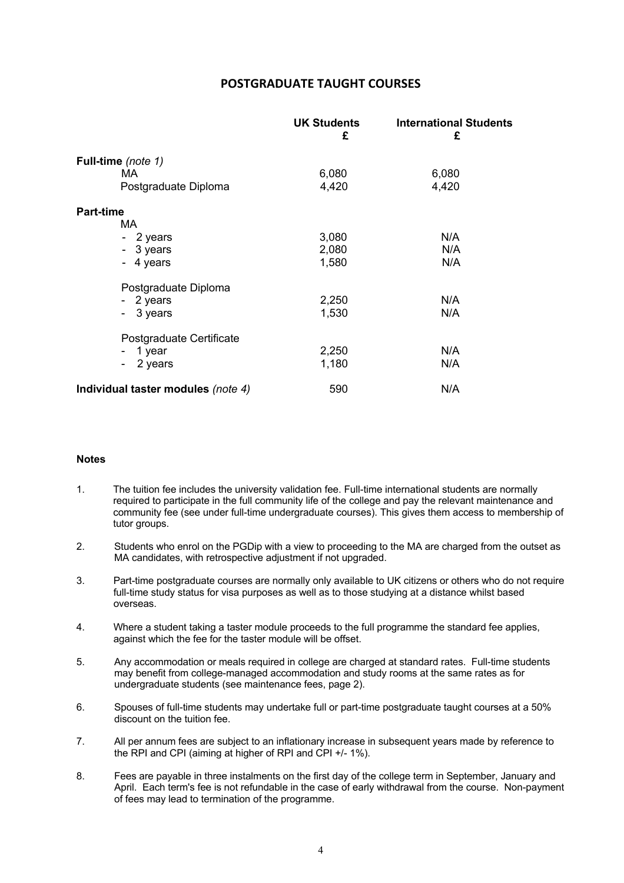# **POSTGRADUATE TAUGHT COURSES**

|                                    | <b>UK Students</b><br>£ | <b>International Students</b><br>£ |
|------------------------------------|-------------------------|------------------------------------|
| Full-time (note 1)                 |                         |                                    |
| МA                                 | 6,080                   | 6,080                              |
| Postgraduate Diploma               | 4,420                   | 4,420                              |
| <b>Part-time</b>                   |                         |                                    |
| MA.                                |                         |                                    |
| - 2 years                          | 3,080                   | N/A                                |
| - 3 years                          | 2,080                   | N/A                                |
| - 4 years                          | 1,580                   | N/A                                |
| Postgraduate Diploma               |                         |                                    |
| - 2 years                          | 2,250                   | N/A                                |
| 3 years<br>$\sim$                  | 1,530                   | N/A                                |
| Postgraduate Certificate           |                         |                                    |
| 1 year<br>۰                        | 2,250                   | N/A                                |
| 2 years<br>۰                       | 1,180                   | N/A                                |
| Individual taster modules (note 4) | 590                     | N/A                                |
|                                    |                         |                                    |

- 1. The tuition fee includes the university validation fee. Full-time international students are normally required to participate in the full community life of the college and pay the relevant maintenance and community fee (see under full-time undergraduate courses). This gives them access to membership of tutor groups.
- 2. Students who enrol on the PGDip with a view to proceeding to the MA are charged from the outset as MA candidates, with retrospective adjustment if not upgraded.
- 3. Part-time postgraduate courses are normally only available to UK citizens or others who do not require full-time study status for visa purposes as well as to those studying at a distance whilst based overseas.
- 4. Where a student taking a taster module proceeds to the full programme the standard fee applies, against which the fee for the taster module will be offset.
- 5. Any accommodation or meals required in college are charged at standard rates. Full-time students may benefit from college-managed accommodation and study rooms at the same rates as for undergraduate students (see maintenance fees, page 2).
- 6. Spouses of full-time students may undertake full or part-time postgraduate taught courses at a 50% discount on the tuition fee.
- 7. All per annum fees are subject to an inflationary increase in subsequent years made by reference to the RPI and CPI (aiming at higher of RPI and CPI +/- 1%).
- 8. Fees are payable in three instalments on the first day of the college term in September, January and April. Each term's fee is not refundable in the case of early withdrawal from the course. Non-payment of fees may lead to termination of the programme.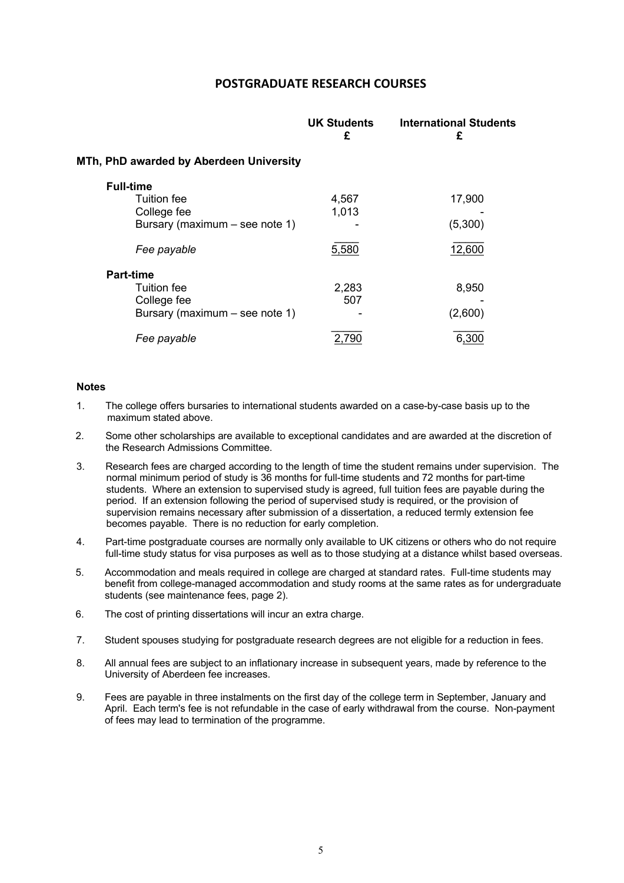# **POSTGRADUATE RESEARCH COURSES**

|                                         | <b>UK Students</b><br>£ | <b>International Students</b><br>£ |
|-----------------------------------------|-------------------------|------------------------------------|
| MTh, PhD awarded by Aberdeen University |                         |                                    |
| <b>Full-time</b>                        |                         |                                    |
| <b>Tuition fee</b>                      | 4,567                   | 17,900                             |
| College fee                             | 1,013                   |                                    |
| Bursary (maximum - see note 1)          |                         | (5,300)                            |
| Fee payable                             | 5,580                   | 12,600                             |
| <b>Part-time</b>                        |                         |                                    |
| Tuition fee                             | 2,283                   | 8,950                              |
| College fee                             | 507                     |                                    |
| Bursary (maximum $-$ see note 1)        |                         | (2,600)                            |
| Fee payable                             | 2.790                   | 6,300                              |

- 1. The college offers bursaries to international students awarded on a case-by-case basis up to the maximum stated above.
- 2. Some other scholarships are available to exceptional candidates and are awarded at the discretion of the Research Admissions Committee.
- 3. Research fees are charged according to the length of time the student remains under supervision. The normal minimum period of study is 36 months for full-time students and 72 months for part-time students. Where an extension to supervised study is agreed, full tuition fees are payable during the period. If an extension following the period of supervised study is required, or the provision of supervision remains necessary after submission of a dissertation, a reduced termly extension fee becomes payable. There is no reduction for early completion.
- 4. Part-time postgraduate courses are normally only available to UK citizens or others who do not require full-time study status for visa purposes as well as to those studying at a distance whilst based overseas.
- 5. Accommodation and meals required in college are charged at standard rates. Full-time students may benefit from college-managed accommodation and study rooms at the same rates as for undergraduate students (see maintenance fees, page 2).
- 6. The cost of printing dissertations will incur an extra charge.
- 7. Student spouses studying for postgraduate research degrees are not eligible for a reduction in fees.
- 8. All annual fees are subject to an inflationary increase in subsequent years, made by reference to the University of Aberdeen fee increases.
- 9. Fees are payable in three instalments on the first day of the college term in September, January and April. Each term's fee is not refundable in the case of early withdrawal from the course. Non-payment of fees may lead to termination of the programme.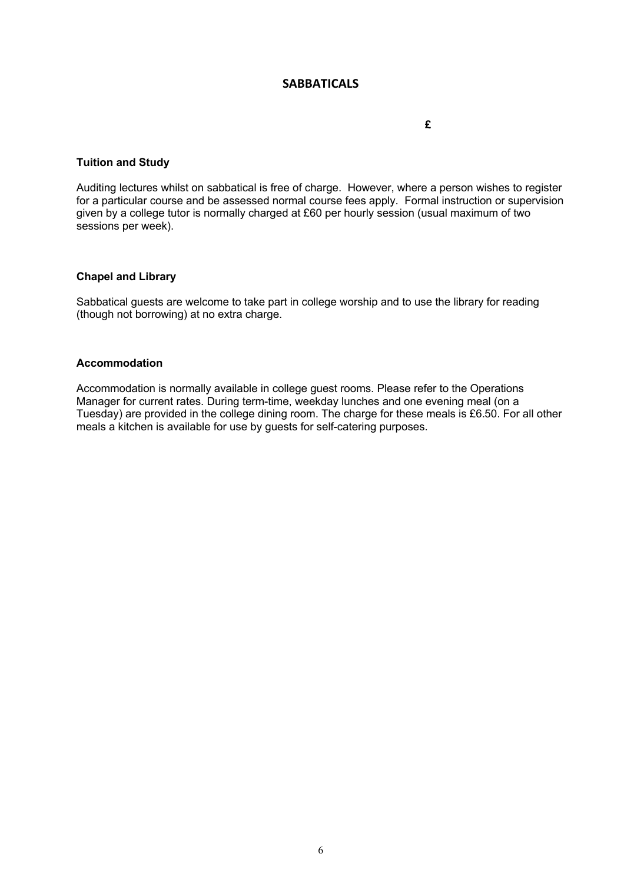# **SABBATICALS**

**£**

#### **Tuition and Study**

Auditing lectures whilst on sabbatical is free of charge. However, where a person wishes to register for a particular course and be assessed normal course fees apply. Formal instruction or supervision given by a college tutor is normally charged at £60 per hourly session (usual maximum of two sessions per week).

#### **Chapel and Library**

Sabbatical guests are welcome to take part in college worship and to use the library for reading (though not borrowing) at no extra charge.

## **Accommodation**

Accommodation is normally available in college guest rooms. Please refer to the Operations Manager for current rates. During term-time, weekday lunches and one evening meal (on a Tuesday) are provided in the college dining room. The charge for these meals is £6.50. For all other meals a kitchen is available for use by guests for self-catering purposes.